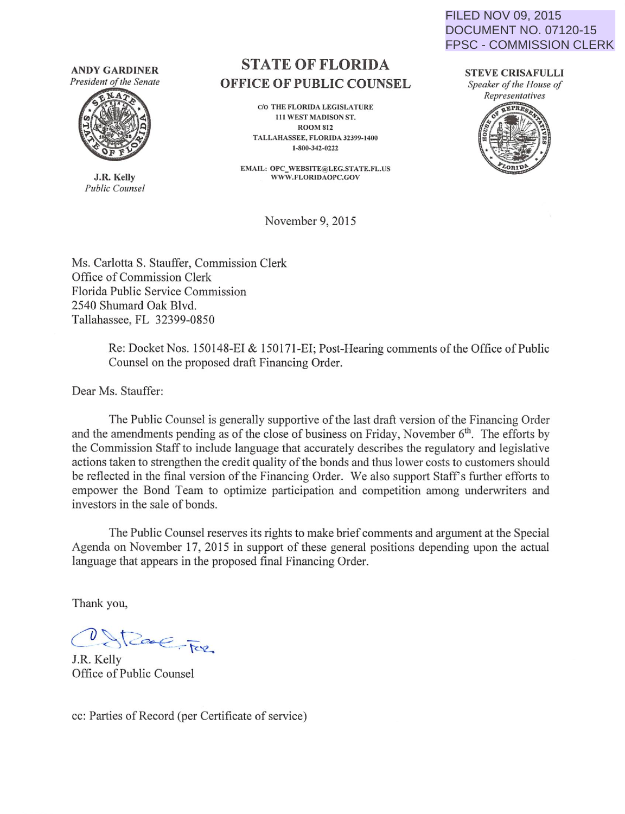**ANDY GARDINER**  President of the Senate



**J.R. Kelly**  *Public Counsel* 

## **STATE OF FLORIDA OFFICE OF PUBLIC COUNSEL**

c/o THE FLORIDA LEGISLATURE 111 WEST MADISON ST. ROOM812 TALLAHASSEE, FLORIDA 32399-1400 1-800-342-0222

EMAIL: OPC\_WEBSITE@LEG.STATE.FL.US WWW.FLORIDAOPC.GOV

FILED NOV 09, 2015 DOCUMENT NO. 07120-15 FPSC - COMMISSION CLERK

> **STEVE CRISAFULLI**  *Speaker of the House of Representatives*



November 9, 2015

Ms. Carlotta S. Stauffer, Commission Clerk Office of Commission Clerk Florida Public Service Commission 2540 Shumard Oak Blvd. Tallahassee, FL 32399-0850

> Re: Docket Nos. 150148-EI & 150171-EI; Post-Hearing comments of the Office of Public Counsel on the proposed draft Financing Order.

Dear Ms. Stauffer:

The Public Counsel is generally supportive of the last draft version of the Financing Order and the amendments pending as of the close of business on Friday, November  $6<sup>th</sup>$ . The efforts by the Commission Staff to include language that accurately describes the regulatory and legislative actions taken to strengthen the credit quality of the bonds and thus lower costs to customers should be reflected in the final version of the Financing Order. We also support Staff's further efforts to empower the Bond Team to optimize participation and competition among underwriters and investors in the sale of bonds.

The Public Counsel reserves its rights to make brief comments and argument at the Special Agenda on November 17, 2015 in support of these general positions depending upon the actual language that appears in the proposed final Financing Order.

Thank you,

D Street For

J.R. Kelly Office of Public Counsel

cc: Parties of Record (per Certificate of service)